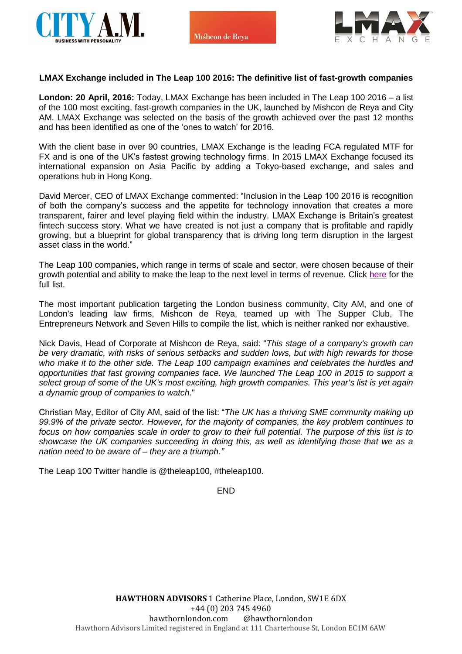



## **LMAX Exchange included in The Leap 100 2016: The definitive list of fast-growth companies**

**London: 20 April, 2016:** Today, LMAX Exchange has been included in The Leap 100 2016 – a list of the 100 most exciting, fast-growth companies in the UK, launched by Mishcon de Reya and City AM. LMAX Exchange was selected on the basis of the growth achieved over the past 12 months and has been identified as one of the 'ones to watch' for 2016.

With the client base in over 90 countries, LMAX Exchange is the leading FCA regulated MTF for FX and is one of the UK's fastest growing technology firms. In 2015 LMAX Exchange focused its international expansion on Asia Pacific by adding a Tokyo-based exchange, and sales and operations hub in Hong Kong.

David Mercer, CEO of LMAX Exchange commented: "Inclusion in the Leap 100 2016 is recognition of both the company's success and the appetite for technology innovation that creates a more transparent, fairer and level playing field within the industry. LMAX Exchange is Britain's greatest fintech success story. What we have created is not just a company that is profitable and rapidly growing, but a blueprint for global transparency that is driving long term disruption in the largest asset class in the world."

The Leap 100 companies, which range in terms of scale and sector, were chosen because of their growth potential and ability to make the leap to the next level in terms of revenue. Click [here](http://www.cityam.com/leap-100) for the full list.

The most important publication targeting the London business community, City AM, and one of London's leading law firms, Mishcon de Reya, teamed up with The Supper Club, The Entrepreneurs Network and Seven Hills to compile the list, which is neither ranked nor exhaustive.

Nick Davis, Head of Corporate at Mishcon de Reya, said: "*This stage of a company's growth can be very dramatic, with risks of serious setbacks and sudden lows, but with high rewards for those who make it to the other side. The Leap 100 campaign examines and celebrates the hurdles and opportunities that fast growing companies face. We launched The Leap 100 in 2015 to support a select group of some of the UK's most exciting, high growth companies. This year's list is yet again a dynamic group of companies to watch*."

Christian May, Editor of City AM, said of the list: "*The UK has a thriving SME community making up 99.9% of the private sector. However, for the majority of companies, the key problem continues to focus on how companies scale in order to grow to their full potential. The purpose of this list is to showcase the UK companies succeeding in doing this, as well as identifying those that we as a nation need to be aware of – they are a triumph."*

The Leap 100 Twitter handle is @theleap100, #theleap100.

END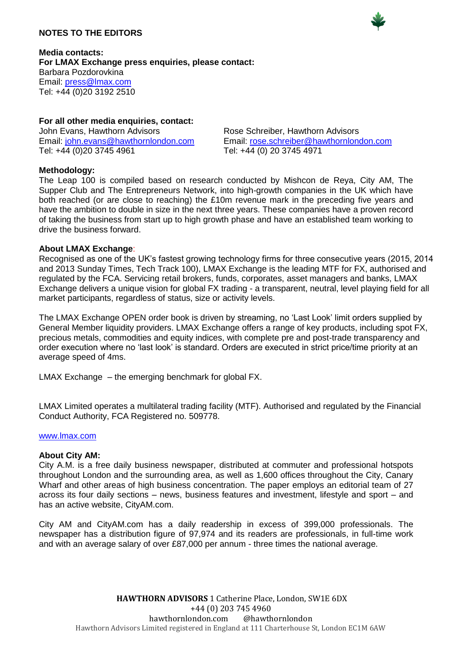# **NOTES TO THE EDITORS**



**Media contacts: For LMAX Exchange press enquiries, please contact:** Barbara Pozdorovkina Email: [press@lmax.com](mailto:press@lmax.com) Tel: +44 (0)20 3192 2510

# **For all other media enquiries, contact:**

John Evans, Hawthorn Advisors<br>
Email: john.evans@hawthornlondon.com
<br>
Email: rose.schreiber@hawthornlon Tel: +44 (0)20 3745 4961 Tel: +44 (0) 20 3745 4971

Email: rose.schreiber@hawthornlondon.com

## **Methodology:**

The Leap 100 is compiled based on research conducted by Mishcon de Reya, City AM, The Supper Club and The Entrepreneurs Network, into high-growth companies in the UK which have both reached (or are close to reaching) the £10m revenue mark in the preceding five years and have the ambition to double in size in the next three years. These companies have a proven record of taking the business from start up to high growth phase and have an established team working to drive the business forward.

## **About LMAX Exchange**:

Recognised as one of the UK's fastest growing technology firms for three consecutive years (2015, 2014 and 2013 Sunday Times, Tech Track 100), LMAX Exchange is the leading MTF for FX, authorised and regulated by the FCA. Servicing retail brokers, funds, corporates, asset managers and banks, LMAX Exchange delivers a unique vision for global FX trading - a transparent, neutral, level playing field for all market participants, regardless of status, size or activity levels.

The LMAX Exchange OPEN order book is driven by streaming, no 'Last Look' limit orders supplied by General Member liquidity providers. LMAX Exchange offers a range of key products, including spot FX, precious metals, commodities and equity indices, with complete pre and post-trade transparency and order execution where no 'last look' is standard. Orders are executed in strict price/time priority at an average speed of 4ms.

LMAX Exchange – the emerging benchmark for global FX.

LMAX Limited operates a multilateral trading facility (MTF). Authorised and regulated by the Financial Conduct Authority, FCA Registered no. 509778.

#### [www.lmax.com](http://www.lmax.com/)

#### **About City AM:**

City A.M. is a free daily business newspaper, distributed at commuter and professional hotspots throughout London and the surrounding area, as well as 1,600 offices throughout the City, Canary Wharf and other areas of high business concentration. The paper employs an editorial team of 27 across its four daily sections – news, business features and investment, lifestyle and sport – and has an active website, CityAM.com.

City AM and CityAM.com has a daily readership in excess of 399,000 professionals. The newspaper has a distribution figure of 97,974 and its readers are professionals, in full-time work and with an average salary of over £87,000 per annum - three times the national average.